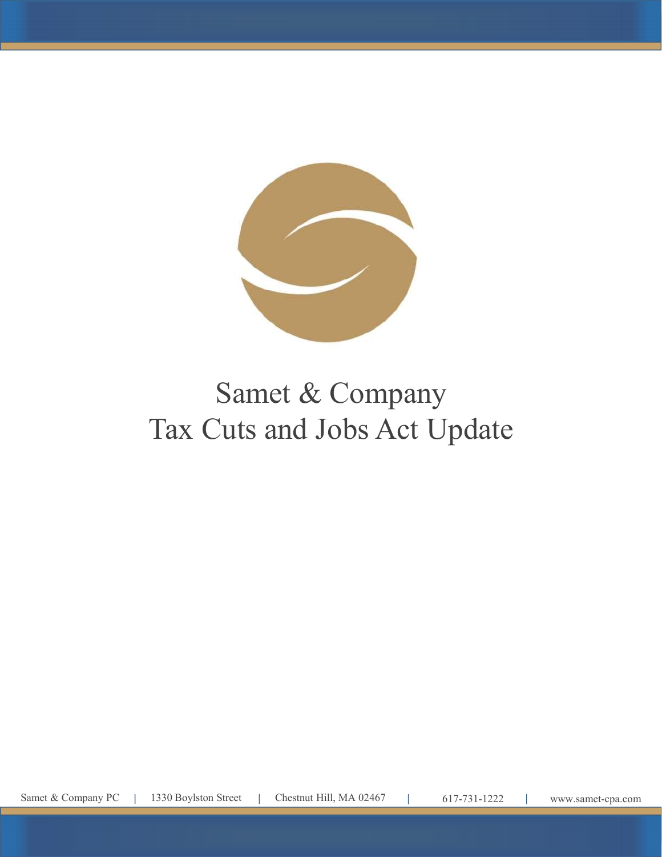

# Tax Cuts and Jobs Act Update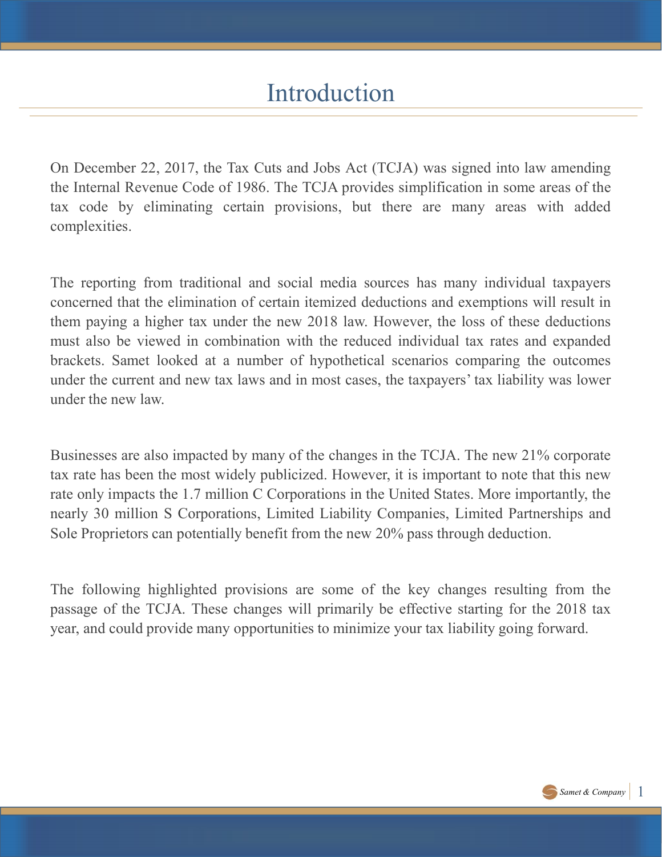## Introduction

Introduction<br>
On December 22, 2017, the Tax Cuts and Jobs Act (TCJA) was signed into law amending<br>
the Internal Revenue Code of 1986. The TCJA provides simplification in some areas of the<br>
tax code by eliminating certain p Introduction<br>The Internal Revenue Code of 1986. The TCJA provides simplification in some areas of the<br>tax code by eliminating certain provisions, but there are many areas with added<br>complexities. Introduction<br>
On December 22, 2017, the Tax Cuts and Jobs Act (TCJA) was signed into law amending<br>
the Internal Revenue Code of 1986. The TCJA provides simplification in some areas of the<br>
tax code by eliminating certain p complexities.

Introduction<br>
On December 22, 2017, the Tax Cuts and Jobs Act (TCJA) was signed into law amending<br>
the Internal Revenue Code of 1986. The TCJA provides simplification in some areas of the<br>
tax code by eliminating certain p Introduction<br>
On December 22, 2017, the Tax Cuts and Jobs Act (TCJA) was signed into law amending<br>
the Internal Revenue Code of 1986. The TCJA provides simplification in some areas of the<br>
tax code by eliminating certain p Introduction<br>
On December 22, 2017, the Tax Cuts and Jobs Act (TCJA) was signed into law amending<br>
the Internal Revenue Code of 1986. The TCJA provides simplification in some areas of the<br>
tax code by eliminating certain p Introduction<br>
On December 22, 2017, the Tax Cuts and Jobs Act (TCJA) was signed into law amending<br>
the Internal Revenue Code of 1986. The TCJA provides simplification in some areas of the<br>
tax code by eliminating certain p Introduction<br>
On December 22, 2017, the Tax Cuts and Jobs Act (TCJA) was signed into law amending<br>
the Internal Revenue Code of 1986. The TCJA provides simplification in some areas of the<br>
tax code by eliminating certain p Universe 22, 2017, the Tax Cuts and Jobs Act (TCJA) was signed into law amending<br>the Internal Revenue Code of 1986. The TCJA provides simplification in some areas of the<br>tax code by eliminating certain provisions, but ther On December 22, 2017, the Tax Cuts and Jobs Act (TCJA) was signed<br>the Internal Revenue Code of 1986. The TCJA provides simplification in<br>tax code by eliminating certain provisions, but there are many<br>complexities.<br>The repo the Internal Revenue Code of 1986. The TCJA provides simplification in some areas of the tax code by eliminating certain provisions, but there are many areas with added complexities.<br>The reporting from traditional and soci tax code by eliminating certain provisions, but there are many areas with added complexities.<br>The reporting from traditional and social media sources has many individual taxpayers concerned that the elimination of certain complexities.<br>The reporting from traditional and social media sources has many individual taxpayers<br>concerned that the elimination of certain itemized deductions and exemptions will result in<br>them paying a higher tax under The reporting from traditional and social media sources has many individual taxpayers<br>concerned that the elimination of certain itemized deductions and exemptions will result in<br>them paying a higher tax under the new 2018 The reporting from traditional and social media sources has many individual taxpayers<br>concerned that the elimination of certain itemized deductions and exemptions will result in<br>them paying a higher tax under the new 2018 them paying a higher tax under the new 2018 law. However, the loss of these deductions must also be viewed in combination with the reduced individual tax rates and expanded brackets. Samet looked at a number of hypothetica

must also be viewed in combination with the reduced individual tax rates and expanded brackets. Samet looked at a number of hypothetical scenarios comparing the outcomes under the current and new tax laws and in most cases brackets. Samet looked at a number of hypothetical scenarios comparing the outcomes<br>under the current and new tax laws and in most cases, the taxpayers' tax liability was lower<br>under the new law.<br>Businesses are also impact

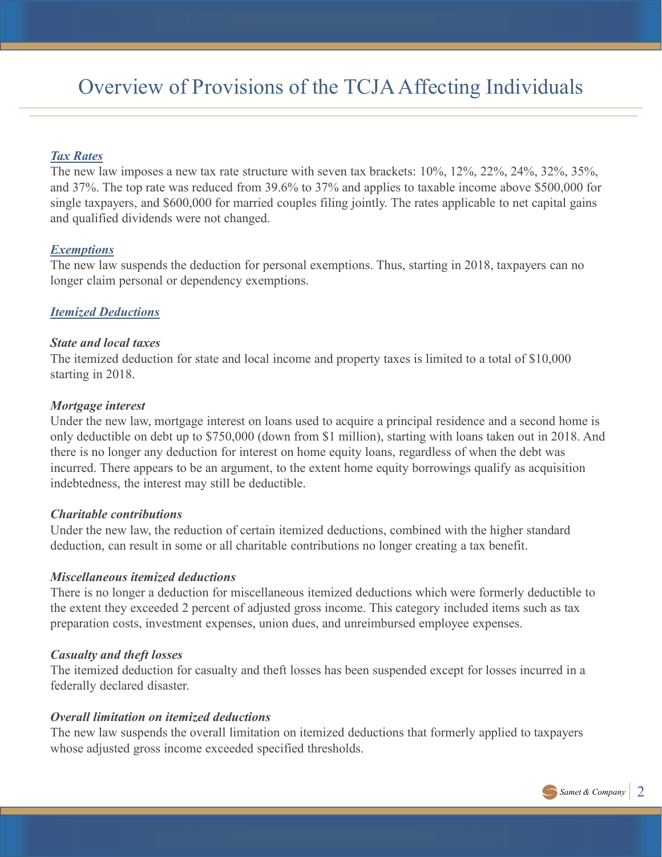## Overview of Provisions of the TCJA Affecting Individuals

#### Tax Rates

The new law imposes a new tax rate structure with seven tax brackets: 10%, 12%, 22%, 24%, 32%, 35%, and 37%. The top rate was reduced from 39.6% to 37% and applies to taxable income above \$500,000 for single taxpayers, and \$600,000 for married couples filing jointly. The rates applicable to net capital gains and qualified dividends were not changed.

#### **Exemptions**

The new law suspends the deduction for personal exemptions. Thus, starting in 2018, taxpayers can no longer claim personal or dependency exemptions.

#### **Itemized Deductions**

#### State and local taxes

The itemized deduction for state and local income and property taxes is limited to a total of \$10,000 starting in 2018.

#### Mortgage interest

Under the new law, mortgage interest on loans used to acquire a principal residence and a second home is only deductible on debt up to \$750,000 (down from \$1 million), starting with loans taken out in 2018. And there is no longer any deduction for interest on home equity loans, regardless of when the debt was incurred. There appears to be an argument, to the extent home equity borrowings qualify as acquisition indebtedness, the interest may still be deductible.

#### Charitable contributions

Under the new law, the reduction of certain itemized deductions, combined with the higher standard deduction, can result in some or all charitable contributions no longer creating a tax benefit.

#### Miscellaneous itemized deductions

There is no longer a deduction for miscellaneous itemized deductions which were formerly deductible to the extent they exceeded 2 percent of adjusted gross income. This category included items such as tax preparation costs, investment expenses, union dues, and unreimbursed employee expenses.

#### Casualty and theft losses

The itemized deduction for casualty and theft losses has been suspended except for losses incurred in a federally declared disaster.

#### Overall limitation on itemized deductions

The new law suspends the overall limitation on itemized deductions that formerly applied to taxpayers whose adjusted gross income exceeded specified thresholds.

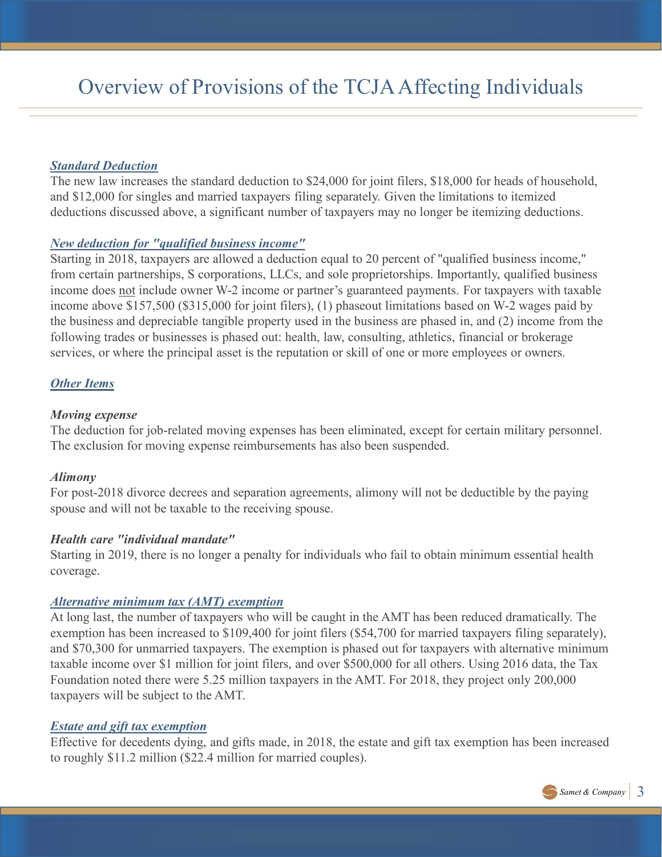#### **Standard Deduction**

The new law increases the standard deduction to \$24,000 for joint filers, \$18,000 for heads of household, and \$12,000 for singles and married taxpayers filing separately. Given the limitations to itemized deductions discussed above, a significant number of taxpayers may no longer be itemizing deductions.

### New deduction for "qualified business income"

Starting in 2018, taxpayers are allowed a deduction equal to 20 percent of "qualified business income," from certain partnerships, S corporations, LLCs, and sole proprietorships. Importantly, qualified business **COVE CONTIG CONTIGE CONTIGE CONTIGETS** (SUPPORTED TO THE SERVICE) SUPPORTED SUPPORTED THE DEVICE ON THE DEVICE THE DEVICE ON THE DEVICE ON THE DEVICE ON THE DEVICE ON THE DEVICE ON THE DEVICE ON THE DEVICE ON THE DEVICE O income above \$157,500 (\$315,000 for joint filers), (1) phaseout limitations based on W-2 wages paid by the business and depreciable tangible property used in the business are phased in, and (2) income from the following trades or businesses is phased out: health, law, consulting, athletics, financial or brokerage services, or where the principal asset is the reputation or skill of one or more employees or owners.

### **Other Items**

#### Moving expense

The deduction for job-related moving expenses has been eliminated, except for certain military personnel. The exclusion for moving expense reimbursements has also been suspended.

#### Alimony

For post-2018 divorce decrees and separation agreements, alimony will not be deductible by the paying spouse and will not be taxable to the receiving spouse.

#### Health care "individual mandate"

Starting in 2019, there is no longer a penalty for individuals who fail to obtain minimum essential health coverage.

#### Alternative minimum tax (AMT) exemption

At long last, the number of taxpayers who will be caught in the AMT has been reduced dramatically. The exemption has been increased to \$109,400 for joint filers (\$54,700 for married taxpayers filing separately), and \$70,300 for unmarried taxpayers. The exemption is phased out for taxpayers with alternative minimum taxable income over \$1 million for joint filers, and over \$500,000 for all others. Using 2016 data, the Tax Foundation noted there were 5.25 million taxpayers in the AMT. For 2018, they project only 200,000 taxpayers will be subject to the AMT.

#### Estate and gift tax exemption

Effective for decedents dying, and gifts made, in 2018, the estate and gift tax exemption has been increased to roughly \$11.2 million (\$22.4 million for married couples).

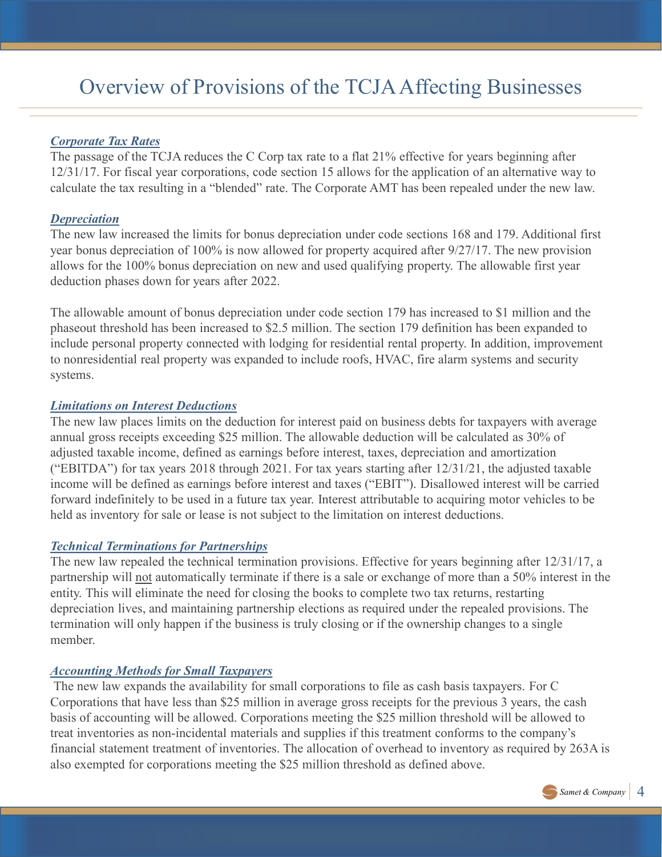## Overview of Provisions of the TCJA Affecting Businesses

#### Corporate Tax Rates

The passage of the TCJA reduces the C Corp tax rate to a flat 21% effective for years beginning after 12/31/17. For fiscal year corporations, code section 15 allows for the application of an alternative way to calculate the tax resulting in a "blended" rate. The Corporate AMT has been repealed under the new law.

#### **Depreciation**

The new law increased the limits for bonus depreciation under code sections 168 and 179. Additional first year bonus depreciation of 100% is now allowed for property acquired after 9/27/17. The new provision allows for the 100% bonus depreciation on new and used qualifying property. The allowable first year deduction phases down for years after 2022.

The allowable amount of bonus depreciation under code section 179 has increased to \$1 million and the phaseout threshold has been increased to \$2.5 million. The section 179 definition has been expanded to include personal property connected with lodging for residential rental property. In addition, improvement to nonresidential real property was expanded to include roofs, HVAC, fire alarm systems and security systems.

#### Limitations on Interest Deductions

The new law places limits on the deduction for interest paid on business debts for taxpayers with average annual gross receipts exceeding \$25 million. The allowable deduction will be calculated as 30% of adjusted taxable income, defined as earnings before interest, taxes, depreciation and amortization ("EBITDA") for tax years 2018 through 2021. For tax years starting after 12/31/21, the adjusted taxable income will be defined as earnings before interest and taxes ("EBIT"). Disallowed interest will be carried forward indefinitely to be used in a future tax year. Interest attributable to acquiring motor vehicles to be held as inventory for sale or lease is not subject to the limitation on interest deductions. The allowable amount of bonus depreciation under code section 179 has increased to \$1 million and the phaseout threshold has been increased to \$2.5 million. The section 179 definition has been expanded to to nonresidential

#### Technical Terminations for Partnerships

The new law repealed the technical termination provisions. Effective for years beginning after 12/31/17, a entity. This will eliminate the need for closing the books to complete two tax returns, restarting depreciation lives, and maintaining partnership elections as required under the repealed provisions. The termination will only happen if the business is truly closing or if the ownership changes to a single member.

#### Accounting Methods for Small Taxpayers

The new law expands the availability for small corporations to file as cash basis taxpayers. For C Corporations that have less than \$25 million in average gross receipts for the previous 3 years, the cash basis of accounting will be allowed. Corporations meeting the \$25 million threshold will be allowed to treat inventories as non-incidental materials and supplies if this treatment conforms to the company's financial statement treatment of inventories. The allocation of overhead to inventory as required by 263A is also exempted for corporations meeting the \$25 million threshold as defined above.